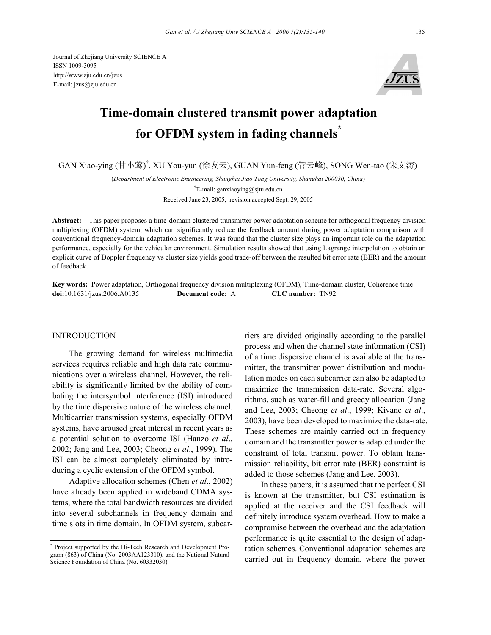Journal of Zhejiang University SCIENCE A ISSN 1009-3095 http://www.zju.edu.cn/jzus E-mail: jzus@zju.edu.cn



# **Time-domain clustered transmit power adaptation for OFDM system in fading channels\***

GAN Xiao-ying (甘小莺)<sup>†</sup>, XU You-yun (徐友云), GUAN Yun-feng (管云峰), SONG Wen-tao (宋文涛)

(*Department of Electronic Engineering, Shanghai Jiao Tong University, Shanghai 200030, China*) † E-mail: ganxiaoying@sjtu.edu.cn Received June 23, 2005; revision accepted Sept. 29, 2005

**Abstract:** This paper proposes a time-domain clustered transmitter power adaptation scheme for orthogonal frequency division multiplexing (OFDM) system, which can significantly reduce the feedback amount during power adaptation comparison with conventional frequency-domain adaptation schemes. It was found that the cluster size plays an important role on the adaptation performance, especially for the vehicular environment. Simulation results showed that using Lagrange interpolation to obtain an explicit curve of Doppler frequency vs cluster size yields good trade-off between the resulted bit error rate (BER) and the amount of feedback.

**Key words:** Power adaptation, Orthogonal frequency division multiplexing (OFDM), Time-domain cluster, Coherence time **doi:**10.1631/jzus.2006.A0135 **Document code:** A **CLC number:** TN92

## INTRODUCTION

The growing demand for wireless multimedia services requires reliable and high data rate communications over a wireless channel. However, the reliability is significantly limited by the ability of combating the intersymbol interference (ISI) introduced by the time dispersive nature of the wireless channel. Multicarrier transmission systems, especially OFDM systems, have aroused great interest in recent years as a potential solution to overcome ISI (Hanzo *et al*., 2002; Jang and Lee, 2003; Cheong *et al*., 1999). The ISI can be almost completely eliminated by introducing a cyclic extension of the OFDM symbol.

Adaptive allocation schemes (Chen *et al*., 2002) have already been applied in wideband CDMA systems, where the total bandwidth resources are divided into several subchannels in frequency domain and time slots in time domain. In OFDM system, subcar-

\* Project supported by the Hi-Tech Research and Development Program (863) of China (No. 2003AA123310), and the National Natural Science Foundation of China (No. 60332030)

riers are divided originally according to the parallel process and when the channel state information (CSI) of a time dispersive channel is available at the transmitter, the transmitter power distribution and modulation modes on each subcarrier can also be adapted to maximize the transmission data-rate. Several algorithms, such as water-fill and greedy allocation (Jang and Lee, 2003; Cheong *et al*., 1999; Kivanc *et al*., 2003), have been developed to maximize the data-rate. These schemes are mainly carried out in frequency domain and the transmitter power is adapted under the constraint of total transmit power. To obtain transmission reliability, bit error rate (BER) constraint is added to those schemes (Jang and Lee, 2003).

In these papers, it is assumed that the perfect CSI is known at the transmitter, but CSI estimation is applied at the receiver and the CSI feedback will definitely introduce system overhead. How to make a compromise between the overhead and the adaptation performance is quite essential to the design of adaptation schemes. Conventional adaptation schemes are carried out in frequency domain, where the power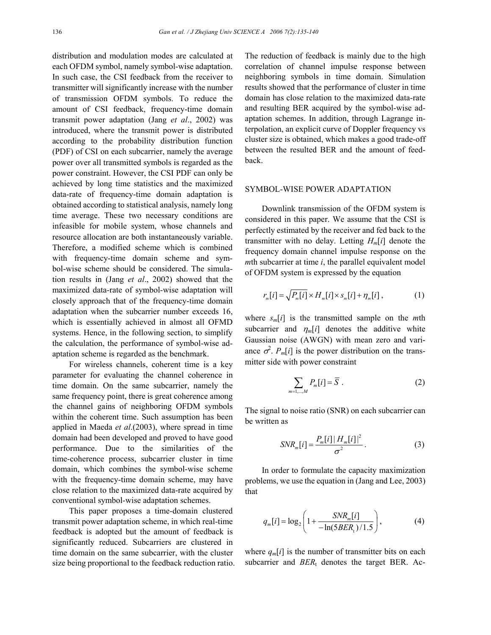distribution and modulation modes are calculated at each OFDM symbol, namely symbol-wise adaptation. In such case, the CSI feedback from the receiver to transmitter will significantly increase with the number of transmission OFDM symbols. To reduce the amount of CSI feedback, frequency-time domain transmit power adaptation (Jang *et al*., 2002) was introduced, where the transmit power is distributed according to the probability distribution function (PDF) of CSI on each subcarrier, namely the average power over all transmitted symbols is regarded as the power constraint. However, the CSI PDF can only be achieved by long time statistics and the maximized data-rate of frequency-time domain adaptation is obtained according to statistical analysis, namely long time average. These two necessary conditions are infeasible for mobile system, whose channels and resource allocation are both instantaneously variable. Therefore, a modified scheme which is combined with frequency-time domain scheme and symbol-wise scheme should be considered. The simulation results in (Jang *et al*., 2002) showed that the maximized data-rate of symbol-wise adaptation will closely approach that of the frequency-time domain adaptation when the subcarrier number exceeds 16, which is essentially achieved in almost all OFMD systems. Hence, in the following section, to simplify the calculation, the performance of symbol-wise adaptation scheme is regarded as the benchmark.

For wireless channels, coherent time is a key parameter for evaluating the channel coherence in time domain. On the same subcarrier, namely the same frequency point, there is great coherence among the channel gains of neighboring OFDM symbols within the coherent time. Such assumption has been applied in Maeda *et al*.(2003), where spread in time domain had been developed and proved to have good performance. Due to the similarities of the time-coherence process, subcarrier cluster in time domain, which combines the symbol-wise scheme with the frequency-time domain scheme, may have close relation to the maximized data-rate acquired by conventional symbol-wise adaptation schemes.

This paper proposes a time-domain clustered transmit power adaptation scheme, in which real-time feedback is adopted but the amount of feedback is significantly reduced. Subcarriers are clustered in time domain on the same subcarrier, with the cluster size being proportional to the feedback reduction ratio.

The reduction of feedback is mainly due to the high correlation of channel impulse response between neighboring symbols in time domain. Simulation results showed that the performance of cluster in time domain has close relation to the maximized data-rate and resulting BER acquired by the symbol-wise adaptation schemes. In addition, through Lagrange interpolation, an explicit curve of Doppler frequency vs cluster size is obtained, which makes a good trade-off between the resulted BER and the amount of feedback.

## SYMBOL-WISE POWER ADAPTATION

Downlink transmission of the OFDM system is considered in this paper. We assume that the CSI is perfectly estimated by the receiver and fed back to the transmitter with no delay. Letting  $H_m[i]$  denote the frequency domain channel impulse response on the *m*th subcarrier at time *i*, the parallel equivalent model of OFDM system is expressed by the equation

$$
r_m[i] = \sqrt{P_m[i]} \times H_m[i] \times s_m[i] + \eta_m[i], \qquad (1)
$$

where  $s_m[i]$  is the transmitted sample on the *m*th subcarrier and  $\eta_m[i]$  denotes the additive white Gaussian noise (AWGN) with mean zero and variance  $\sigma^2$ .  $P_m[i]$  is the power distribution on the transmitter side with power constraint

$$
\sum_{m=1,\dots,M} P_m[i] = \overline{S} \ . \tag{2}
$$

The signal to noise ratio (SNR) on each subcarrier can be written as

$$
SNR_m[i] = \frac{P_m[i] |H_m[i]|^2}{\sigma^2}.
$$
 (3)

In order to formulate the capacity maximization problems, we use the equation in (Jang and Lee, 2003) that

$$
q_m[i] = \log_2 \left( 1 + \frac{SNR_m[i]}{-\ln(SBER_t)/1.5} \right),\tag{4}
$$

where  $q_m[i]$  is the number of transmitter bits on each subcarrier and  $BER_t$  denotes the target BER. Ac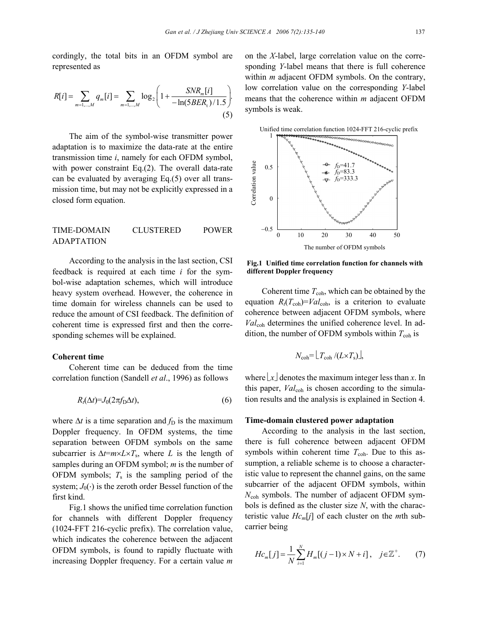cordingly, the total bits in an OFDM symbol are represented as

$$
R[i] = \sum_{m=1,\dots,M} q_m[i] = \sum_{m=1,\dots,M} \log_2 \left( 1 + \frac{SNR_m[i]}{-\ln(SBER_t)/1.5} \right).
$$
\n(5)

The aim of the symbol-wise transmitter power adaptation is to maximize the data-rate at the entire transmission time *i*, namely for each OFDM symbol, with power constraint Eq.(2). The overall data-rate can be evaluated by averaging Eq.(5) over all transmission time, but may not be explicitly expressed in a closed form equation.

## TIME-DOMAIN CLUSTERED POWER ADAPTATION

According to the analysis in the last section, CSI feedback is required at each time *i* for the symbol-wise adaptation schemes, which will introduce heavy system overhead. However, the coherence in time domain for wireless channels can be used to reduce the amount of CSI feedback. The definition of coherent time is expressed first and then the corresponding schemes will be explained.

#### **Coherent time**

Coherent time can be deduced from the time correlation function (Sandell *et al*., 1996) as follows

$$
R_t(\Delta t) = J_0(2\pi f_D \Delta t),\tag{6}
$$

where  $\Delta t$  is a time separation and  $f_D$  is the maximum Doppler frequency. In OFDM systems, the time separation between OFDM symbols on the same subcarrier is  $\Delta t = m \times L \times T_s$ , where *L* is the length of samples during an OFDM symbol; *m* is the number of OFDM symbols;  $T_s$  is the sampling period of the system;  $J_0(\cdot)$  is the zeroth order Bessel function of the first kind.

Fig.1 shows the unified time correlation function for channels with different Doppler frequency (1024-FFT 216-cyclic prefix). The correlation value, which indicates the coherence between the adjacent OFDM symbols, is found to rapidly fluctuate with increasing Doppler frequency. For a certain value *m*

on the *X*-label, large correlation value on the corresponding *Y*-label means that there is full coherence within *m* adjacent OFDM symbols. On the contrary, low correlation value on the corresponding *Y*-label means that the coherence within *m* adjacent OFDM symbols is weak.



**Fig.1 Unified time correlation function for channels with different Doppler frequency**

Coherent time  $T_{\text{coh}}$ , which can be obtained by the equation  $R_t(T_{coh})=Val_{coh}$ , is a criterion to evaluate coherence between adjacent OFDM symbols, where *Val*coh determines the unified coherence level. In addition, the number of OFDM symbols within  $T_{\text{coh}}$  is

$$
N_{\rm coh} = \lfloor T_{\rm coh}/(L \times T_{\rm s}) \rfloor,
$$

where  $x \,$  denotes the maximum integer less than *x*. In this paper, *Val*coh is chosen according to the simulation results and the analysis is explained in Section 4.

#### **Time-domain clustered power adaptation**

According to the analysis in the last section, there is full coherence between adjacent OFDM symbols within coherent time  $T_{coh.}$  Due to this assumption, a reliable scheme is to choose a characteristic value to represent the channel gains, on the same subcarrier of the adjacent OFDM symbols, within *N*coh symbols. The number of adjacent OFDM symbols is defined as the cluster size *N*, with the characteristic value *Hcm*[*j*] of each cluster on the *m*th subcarrier being

$$
Hc_m[j] = \frac{1}{N} \sum_{i=1}^{N} H_m[(j-1) \times N + i], \quad j \in \mathbb{Z}^+.
$$
 (7)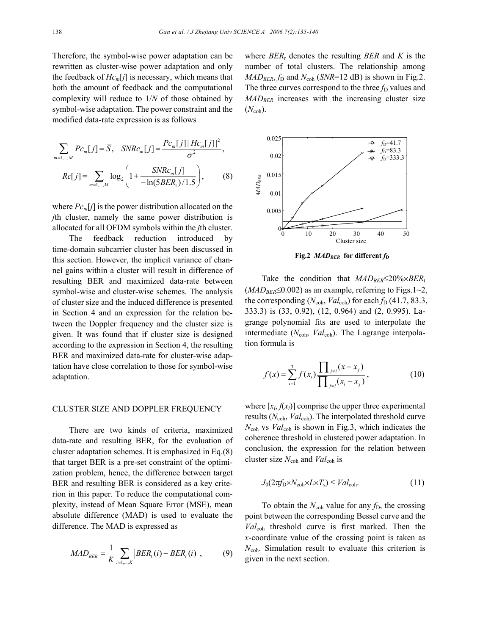Therefore, the symbol-wise power adaptation can be rewritten as cluster-wise power adaptation and only the feedback of  $Hc_m[j]$  is necessary, which means that both the amount of feedback and the computational complexity will reduce to 1/*N* of those obtained by symbol-wise adaptation. The power constraint and the modified data-rate expression is as follows

$$
\sum_{m=1,\dots,M} P c_m[j] = \overline{S}, \quad SNR c_m[j] = \frac{P c_m[j] |H c_m[j]|^2}{\sigma^2},
$$

$$
R c[j] = \sum_{m=1,\dots,M} \log_2 \left( 1 + \frac{SNR c_m[j]}{-\ln(SBER_t)/1.5} \right),
$$
(8)

where  $Pc_m[j]$  is the power distribution allocated on the *j*th cluster, namely the same power distribution is allocated for all OFDM symbols within the *j*th cluster.

The feedback reduction introduced by time-domain subcarrier cluster has been discussed in this section. However, the implicit variance of channel gains within a cluster will result in difference of resulting BER and maximized data-rate between symbol-wise and cluster-wise schemes. The analysis of cluster size and the induced difference is presented in Section 4 and an expression for the relation between the Doppler frequency and the cluster size is given. It was found that if cluster size is designed according to the expression in Section 4, the resulting BER and maximized data-rate for cluster-wise adaptation have close correlation to those for symbol-wise adaptation.

#### CLUSTER SIZE AND DOPPLER FREQUENCY

There are two kinds of criteria, maximized data-rate and resulting BER, for the evaluation of cluster adaptation schemes. It is emphasized in Eq.(8) that target BER is a pre-set constraint of the optimization problem, hence, the difference between target BER and resulting BER is considered as a key criterion in this paper. To reduce the computational complexity, instead of Mean Square Error (MSE), mean absolute difference (MAD) is used to evaluate the difference. The MAD is expressed as

$$
MAD_{BER} = \frac{1}{K} \sum_{i=1,\dots,K} |BER_{i}(i) - BER_{r}(i)|, \qquad (9)
$$

where  $BER_r$  denotes the resulting  $BER$  and  $K$  is the number of total clusters. The relationship among  $MAD_{BER}$ ,  $f_D$  and  $N_{coh}$  (*SNR*=12 dB) is shown in Fig.2. The three curves correspond to the three  $f<sub>D</sub>$  values and  $MAD_{BER}$  increases with the increasing cluster size  $(N_{\rm coh})$ .



**Fig.2** *MAD*<sub>BER</sub> for different  $f<sub>D</sub>$ 

Take the condition that *MAD*<sub>BER</sub>≤20%×*BER*t  $(MAD_{BER} \leq 0.002)$  as an example, referring to Figs.1~2, the corresponding  $(N_{\text{coh}}, Val_{\text{coh}})$  for each  $f_{\text{D}}$  (41.7, 83.3, 333.3) is (33, 0.92), (12, 0.964) and (2, 0.995). Lagrange polynomial fits are used to interpolate the intermediate (*N*<sub>coh</sub>, *Val*<sub>coh</sub>). The Lagrange interpolation formula is

$$
f(x) = \sum_{i=1}^{3} f(x_i) \frac{\prod_{j \neq i} (x - x_j)}{\prod_{j \neq i} (x_i - x_j)},
$$
 (10)

where  $[x_i, f(x_i)]$  comprise the upper three experimental results (*N*<sub>coh</sub>, *Val*<sub>coh</sub>). The interpolated threshold curve *N*coh vs *Val*coh is shown in Fig.3, which indicates the coherence threshold in clustered power adaptation. In conclusion, the expression for the relation between cluster size *N*coh and *Val*coh is

$$
J_0(2\pi f_D \times N_{coh} \times L \times T_s) \leq Val_{coh}.
$$
 (11)

To obtain the  $N_{coh}$  value for any  $f_D$ , the crossing point between the corresponding Bessel curve and the *Val*coh threshold curve is first marked. Then the *x*-coordinate value of the crossing point is taken as *N*<sub>coh</sub>. Simulation result to evaluate this criterion is given in the next section.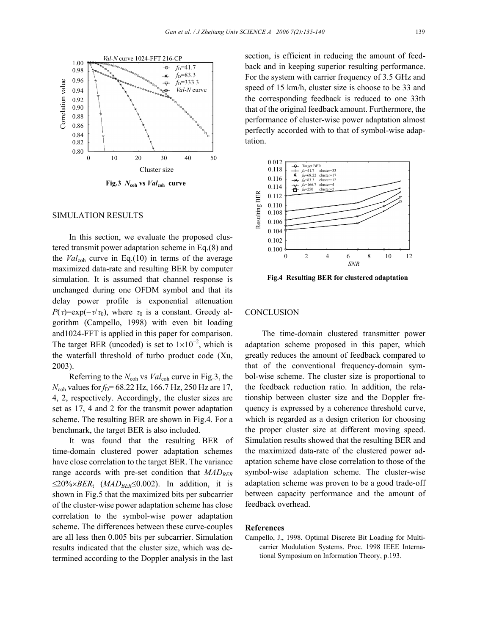

#### SIMULATION RESULTS

In this section, we evaluate the proposed clustered transmit power adaptation scheme in Eq.(8) and the *Val*coh curve in Eq.(10) in terms of the average maximized data-rate and resulting BER by computer simulation. It is assumed that channel response is unchanged during one OFDM symbol and that its delay power profile is exponential attenuation *P*( $\tau$ )=exp( $-\tau/\tau_0$ ), where  $\tau_0$  is a constant. Greedy algorithm (Campello, 1998) with even bit loading and1024-FFT is applied in this paper for comparison. The target BER (uncoded) is set to  $1 \times 10^{-2}$ , which is the waterfall threshold of turbo product code (Xu, 2003).

Referring to the *N*coh vs *Val*coh curve in Fig.3, the *N*<sub>coh</sub> values for *f*<sub>D</sub>= 68.22 Hz, 166.7 Hz, 250 Hz are 17, 4, 2, respectively. Accordingly, the cluster sizes are set as 17, 4 and 2 for the transmit power adaptation scheme. The resulting BER are shown in Fig.4. For a benchmark, the target BER is also included.

It was found that the resulting BER of time-domain clustered power adaptation schemes have close correlation to the target BER. The variance range accords with pre-set condition that *MAD<sub>BER</sub>*  $≤20\%×BER_t$  (*MAD<sub>BER</sub>*≤0.002). In addition, it is shown in Fig.5 that the maximized bits per subcarrier of the cluster-wise power adaptation scheme has close correlation to the symbol-wise power adaptation scheme. The differences between these curve-couples are all less then 0.005 bits per subcarrier. Simulation results indicated that the cluster size, which was determined according to the Doppler analysis in the last

section, is efficient in reducing the amount of feedback and in keeping superior resulting performance. For the system with carrier frequency of 3.5 GHz and speed of 15 km/h, cluster size is choose to be 33 and the corresponding feedback is reduced to one 33th that of the original feedback amount. Furthermore, the performance of cluster-wise power adaptation almost perfectly accorded with to that of symbol-wise adaptation.



**Fig.4 Resulting BER for clustered adaptation**

### **CONCLUSION**

The time-domain clustered transmitter power adaptation scheme proposed in this paper, which greatly reduces the amount of feedback compared to that of the conventional frequency-domain symbol-wise scheme. The cluster size is proportional to the feedback reduction ratio. In addition, the relationship between cluster size and the Doppler frequency is expressed by a coherence threshold curve, which is regarded as a design criterion for choosing the proper cluster size at different moving speed. Simulation results showed that the resulting BER and the maximized data-rate of the clustered power adaptation scheme have close correlation to those of the symbol-wise adaptation scheme. The cluster-wise adaptation scheme was proven to be a good trade-off between capacity performance and the amount of feedback overhead.

#### **References**

Campello, J., 1998. Optimal Discrete Bit Loading for Multicarrier Modulation Systems. Proc. 1998 IEEE International Symposium on Information Theory, p.193.